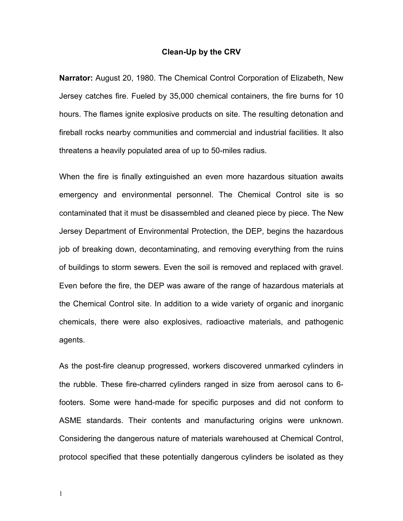## **Clean-Up by the CRV**

**Narrator:** August 20, 1980. The Chemical Control Corporation of Elizabeth, New Jersey catches fire. Fueled by 35,000 chemical containers, the fire burns for 10 hours. The flames ignite explosive products on site. The resulting detonation and fireball rocks nearby communities and commercial and industrial facilities. It also threatens a heavily populated area of up to 50-miles radius.

When the fire is finally extinguished an even more hazardous situation awaits emergency and environmental personnel. The Chemical Control site is so contaminated that it must be disassembled and cleaned piece by piece. The New Jersey Department of Environmental Protection, the DEP, begins the hazardous job of breaking down, decontaminating, and removing everything from the ruins of buildings to storm sewers. Even the soil is removed and replaced with gravel. Even before the fire, the DEP was aware of the range of hazardous materials at the Chemical Control site. In addition to a wide variety of organic and inorganic chemicals, there were also explosives, radioactive materials, and pathogenic agents.

As the post-fire cleanup progressed, workers discovered unmarked cylinders in the rubble. These fire-charred cylinders ranged in size from aerosol cans to 6 footers. Some were hand-made for specific purposes and did not conform to ASME standards. Their contents and manufacturing origins were unknown. Considering the dangerous nature of materials warehoused at Chemical Control, protocol specified that these potentially dangerous cylinders be isolated as they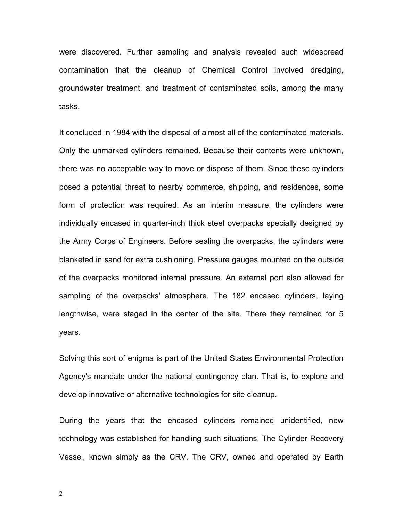were discovered. Further sampling and analysis revealed such widespread contamination that the cleanup of Chemical Control involved dredging, groundwater treatment, and treatment of contaminated soils, among the many tasks.

It concluded in 1984 with the disposal of almost all of the contaminated materials. Only the unmarked cylinders remained. Because their contents were unknown, there was no acceptable way to move or dispose of them. Since these cylinders posed a potential threat to nearby commerce, shipping, and residences, some form of protection was required. As an interim measure, the cylinders were individually encased in quarter-inch thick steel overpacks specially designed by the Army Corps of Engineers. Before sealing the overpacks, the cylinders were blanketed in sand for extra cushioning. Pressure gauges mounted on the outside of the overpacks monitored internal pressure. An external port also allowed for sampling of the overpacks' atmosphere. The 182 encased cylinders, laying lengthwise, were staged in the center of the site. There they remained for 5 years.

Solving this sort of enigma is part of the United States Environmental Protection Agency's mandate under the national contingency plan. That is, to explore and develop innovative or alternative technologies for site cleanup.

During the years that the encased cylinders remained unidentified, new technology was established for handling such situations. The Cylinder Recovery Vessel, known simply as the CRV. The CRV, owned and operated by Earth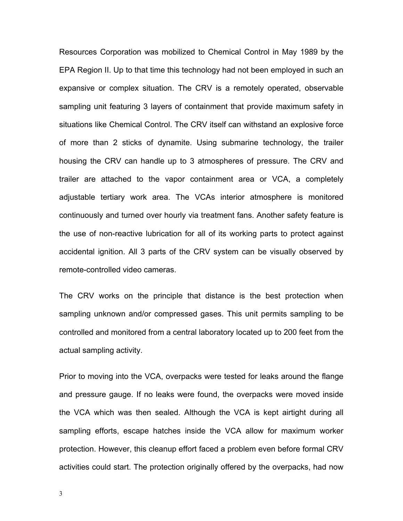Resources Corporation was mobilized to Chemical Control in May 1989 by the EPA Region II. Up to that time this technology had not been employed in such an expansive or complex situation. The CRV is a remotely operated, observable sampling unit featuring 3 layers of containment that provide maximum safety in situations like Chemical Control. The CRV itself can withstand an explosive force of more than 2 sticks of dynamite. Using submarine technology, the trailer housing the CRV can handle up to 3 atmospheres of pressure. The CRV and trailer are attached to the vapor containment area or VCA, a completely adjustable tertiary work area. The VCAs interior atmosphere is monitored continuously and turned over hourly via treatment fans. Another safety feature is the use of non-reactive lubrication for all of its working parts to protect against accidental ignition. All 3 parts of the CRV system can be visually observed by remote-controlled video cameras.

The CRV works on the principle that distance is the best protection when sampling unknown and/or compressed gases. This unit permits sampling to be controlled and monitored from a central laboratory located up to 200 feet from the actual sampling activity.

Prior to moving into the VCA, overpacks were tested for leaks around the flange and pressure gauge. If no leaks were found, the overpacks were moved inside the VCA which was then sealed. Although the VCA is kept airtight during all sampling efforts, escape hatches inside the VCA allow for maximum worker protection. However, this cleanup effort faced a problem even before formal CRV activities could start. The protection originally offered by the overpacks, had now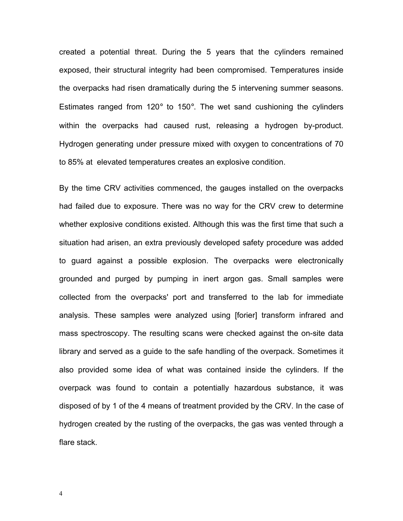created a potential threat. During the 5 years that the cylinders remained exposed, their structural integrity had been compromised. Temperatures inside the overpacks had risen dramatically during the 5 intervening summer seasons. Estimates ranged from 120 $\degree$  to 150 $\degree$ . The wet sand cushioning the cylinders within the overpacks had caused rust, releasing a hydrogen by-product. Hydrogen generating under pressure mixed with oxygen to concentrations of 70 to 85% at elevated temperatures creates an explosive condition.

By the time CRV activities commenced, the gauges installed on the overpacks had failed due to exposure. There was no way for the CRV crew to determine whether explosive conditions existed. Although this was the first time that such a situation had arisen, an extra previously developed safety procedure was added to guard against a possible explosion. The overpacks were electronically grounded and purged by pumping in inert argon gas. Small samples were collected from the overpacks' port and transferred to the lab for immediate analysis. These samples were analyzed using [forier] transform infrared and mass spectroscopy. The resulting scans were checked against the on-site data library and served as a guide to the safe handling of the overpack. Sometimes it also provided some idea of what was contained inside the cylinders. If the overpack was found to contain a potentially hazardous substance, it was disposed of by 1 of the 4 means of treatment provided by the CRV. In the case of hydrogen created by the rusting of the overpacks, the gas was vented through a flare stack.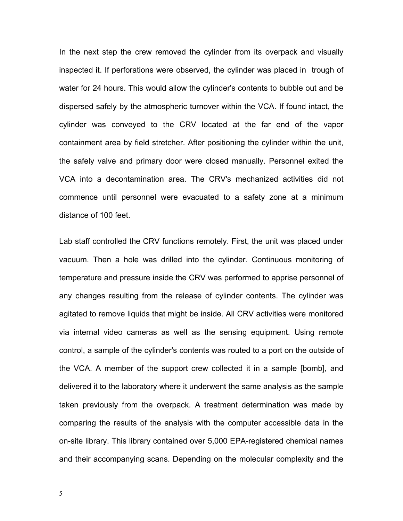In the next step the crew removed the cylinder from its overpack and visually inspected it. If perforations were observed, the cylinder was placed in trough of water for 24 hours. This would allow the cylinder's contents to bubble out and be dispersed safely by the atmospheric turnover within the VCA. If found intact, the cylinder was conveyed to the CRV located at the far end of the vapor containment area by field stretcher. After positioning the cylinder within the unit, the safely valve and primary door were closed manually. Personnel exited the VCA into a decontamination area. The CRV's mechanized activities did not commence until personnel were evacuated to a safety zone at a minimum distance of 100 feet.

Lab staff controlled the CRV functions remotely. First, the unit was placed under vacuum. Then a hole was drilled into the cylinder. Continuous monitoring of temperature and pressure inside the CRV was performed to apprise personnel of any changes resulting from the release of cylinder contents. The cylinder was agitated to remove liquids that might be inside. All CRV activities were monitored via internal video cameras as well as the sensing equipment. Using remote control, a sample of the cylinder's contents was routed to a port on the outside of the VCA. A member of the support crew collected it in a sample [bomb], and delivered it to the laboratory where it underwent the same analysis as the sample taken previously from the overpack. A treatment determination was made by comparing the results of the analysis with the computer accessible data in the on-site library. This library contained over 5,000 EPA-registered chemical names and their accompanying scans. Depending on the molecular complexity and the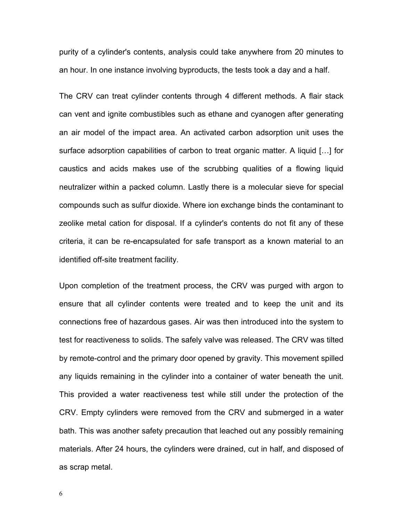purity of a cylinder's contents, analysis could take anywhere from 20 minutes to an hour. In one instance involving byproducts, the tests took a day and a half.

The CRV can treat cylinder contents through 4 different methods. A flair stack can vent and ignite combustibles such as ethane and cyanogen after generating an air model of the impact area. An activated carbon adsorption unit uses the surface adsorption capabilities of carbon to treat organic matter. A liquid  $[...]$  for caustics and acids makes use of the scrubbing qualities of a flowing liquid neutralizer within a packed column. Lastly there is a molecular sieve for special compounds such as sulfur dioxide. Where ion exchange binds the contaminant to zeolike metal cation for disposal. If a cylinder's contents do not fit any of these criteria, it can be re-encapsulated for safe transport as a known material to an identified off-site treatment facility.

Upon completion of the treatment process, the CRV was purged with argon to ensure that all cylinder contents were treated and to keep the unit and its connections free of hazardous gases. Air was then introduced into the system to test for reactiveness to solids. The safely valve was released. The CRV was tilted by remote-control and the primary door opened by gravity. This movement spilled any liquids remaining in the cylinder into a container of water beneath the unit. This provided a water reactiveness test while still under the protection of the CRV. Empty cylinders were removed from the CRV and submerged in a water bath. This was another safety precaution that leached out any possibly remaining materials. After 24 hours, the cylinders were drained, cut in half, and disposed of as scrap metal.